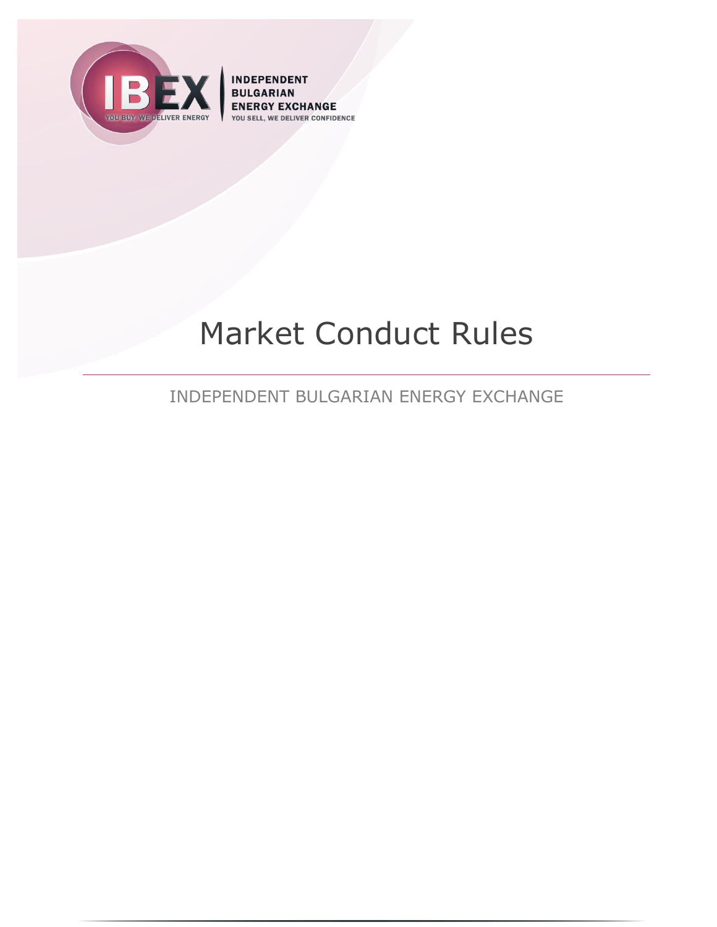

**INDEPENDENT BULGARIAN ENERGY EXCHANGE DELIVER CONFIDENCE** YOU SEL

# Market Conduct Rules

INDEPENDENT BULGARIAN ENERGY EXCHANGE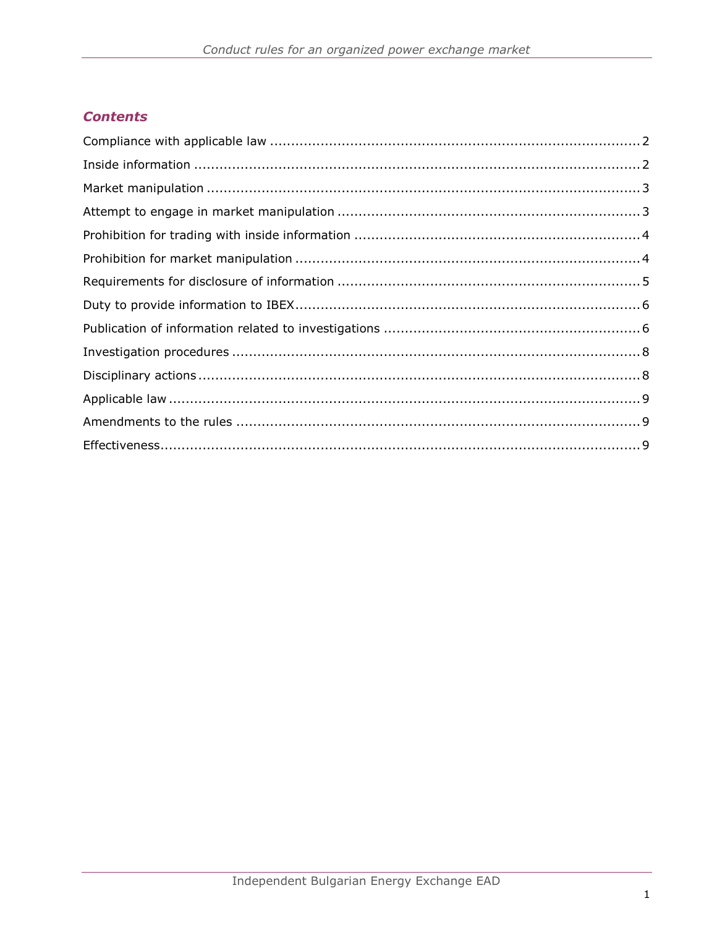# **Contents**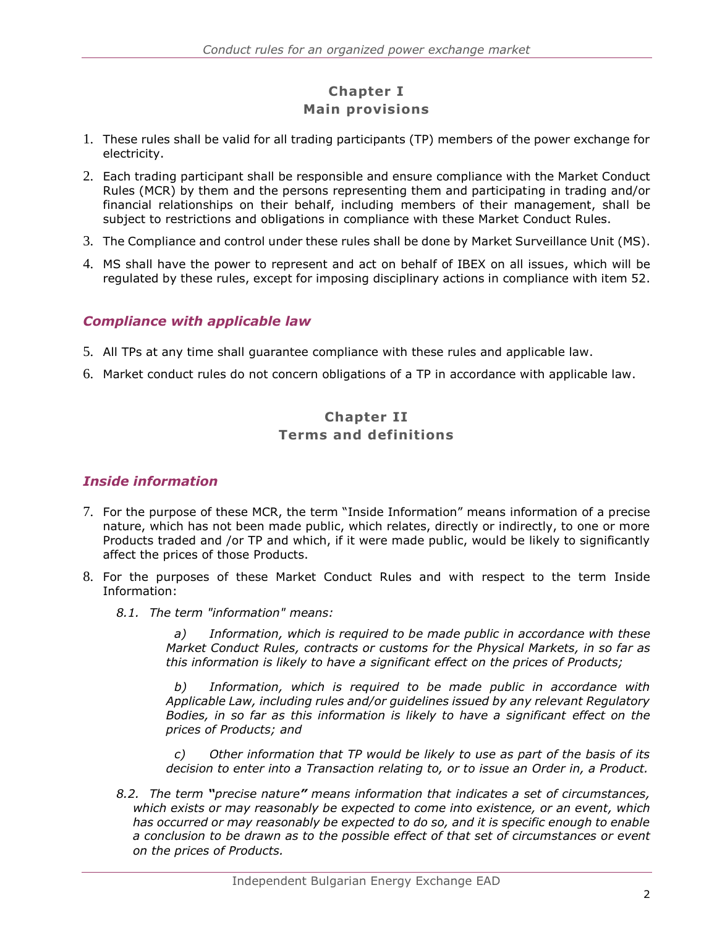# **Chapter I Main provisions**

- 1. These rules shall be valid for all trading participants (TP) members of the power exchange for electricity.
- 2. Each trading participant shall be responsible and ensure compliance with the Market Conduct Rules (MCR) by them and the persons representing them and participating in trading and/or financial relationships on their behalf, including members of their management, shall be subject to restrictions and obligations in compliance with these Market Conduct Rules.
- 3. The Compliance and control under these rules shall be done by Market Surveillance Unit (MS).
- 4. MS shall have the power to represent and act on behalf of IBEX on all issues, which will be regulated by these rules, except for imposing disciplinary actions in compliance with item 52.

#### <span id="page-2-0"></span>*Compliance with applicable law*

- 5. All TPs at any time shall guarantee compliance with these rules and applicable law.
- 6. Market conduct rules do not concern obligations of a TP in accordance with applicable law.

### **Chapter II Terms and definitions**

#### <span id="page-2-1"></span>*Inside information*

- 7. For the purpose of these MCR, the term "Inside Information" means information of a precise nature, which has not been made public, which relates, directly or indirectly, to one or more Products traded and /or TP and which, if it were made public, would be likely to significantly affect the prices of those Products.
- 8. For the purposes of these Market Conduct Rules and with respect to the term Inside Information:
	- *8.1. The term "information" means:*

*a) Information, which is required to be made public in accordance with these Market Conduct Rules, contracts or customs for the Physical Markets, in so far as this information is likely to have a significant effect on the prices of Products;* 

*b) Information, which is required to be made public in accordance with Applicable Law, including rules and/or guidelines issued by any relevant Regulatory Bodies, in so far as this information is likely to have a significant effect on the prices of Products; and*

*c) Other information that TP would be likely to use as part of the basis of its decision to enter into a Transaction relating to, or to issue an Order in, a Product.*

*8.2. The term "precise nature" means information that indicates a set of circumstances, which exists or may reasonably be expected to come into existence, or an event, which has occurred or may reasonably be expected to do so, and it is specific enough to enable a conclusion to be drawn as to the possible effect of that set of circumstances or event on the prices of Products.*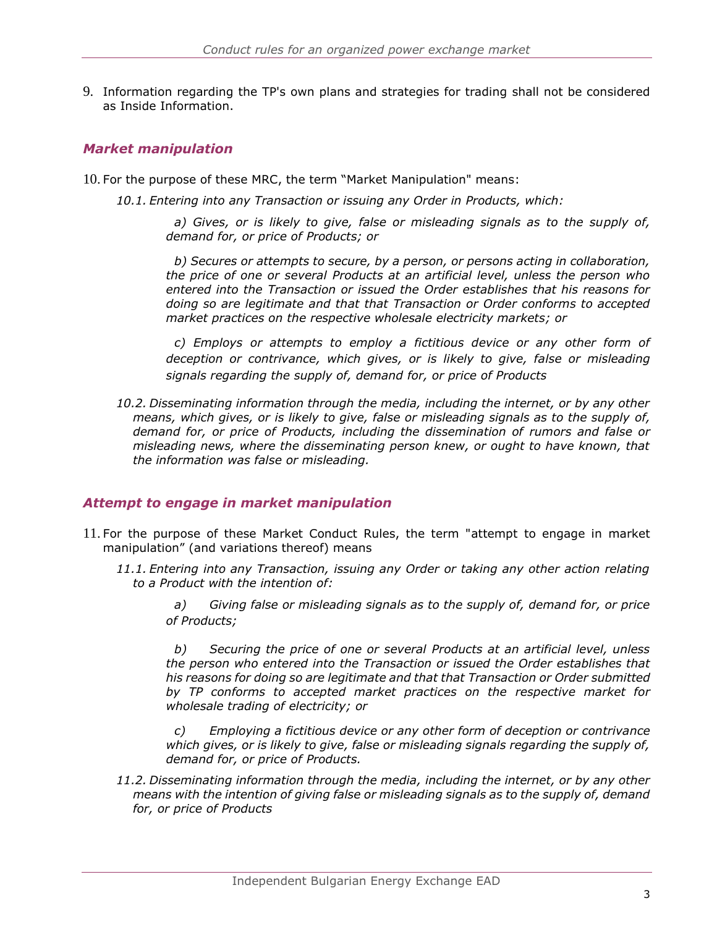9. Information regarding the TP's own plans and strategies for trading shall not be considered as Inside Information.

### <span id="page-3-0"></span>*Market manipulation*

10. For the purpose of these MRC, the term "Market Manipulation" means:

*10.1. Entering into any Transaction or issuing any Order in Products, which:*

*a) Gives, or is likely to give, false or misleading signals as to the supply of, demand for, or price of Products; or*

*b) Secures or attempts to secure, by a person, or persons acting in collaboration, the price of one or several Products at an artificial level, unless the person who entered into the Transaction or issued the Order establishes that his reasons for doing so are legitimate and that that Transaction or Order conforms to accepted market practices on the respective wholesale electricity markets; or*

*c) Employs or attempts to employ a fictitious device or any other form of deception or contrivance, which gives, or is likely to give, false or misleading signals regarding the supply of, demand for, or price of Products*

*10.2. Disseminating information through the media, including the internet, or by any other means, which gives, or is likely to give, false or misleading signals as to the supply of, demand for, or price of Products, including the dissemination of rumors and false or misleading news, where the disseminating person knew, or ought to have known, that the information was false or misleading.*

#### <span id="page-3-1"></span>*Attempt to engage in market manipulation*

- 11. For the purpose of these Market Conduct Rules, the term "attempt to engage in market manipulation" (and variations thereof) means
	- *11.1. Entering into any Transaction, issuing any Order or taking any other action relating to a Product with the intention of:*

*a) Giving false or misleading signals as to the supply of, demand for, or price of Products;*

*b) Securing the price of one or several Products at an artificial level, unless the person who entered into the Transaction or issued the Order establishes that his reasons for doing so are legitimate and that that Transaction or Order submitted by TP conforms to accepted market practices on the respective market for wholesale trading of electricity; or*

*c) Employing a fictitious device or any other form of deception or contrivance which gives, or is likely to give, false or misleading signals regarding the supply of, demand for, or price of Products.*

*11.2. Disseminating information through the media, including the internet, or by any other means with the intention of giving false or misleading signals as to the supply of, demand for, or price of Products*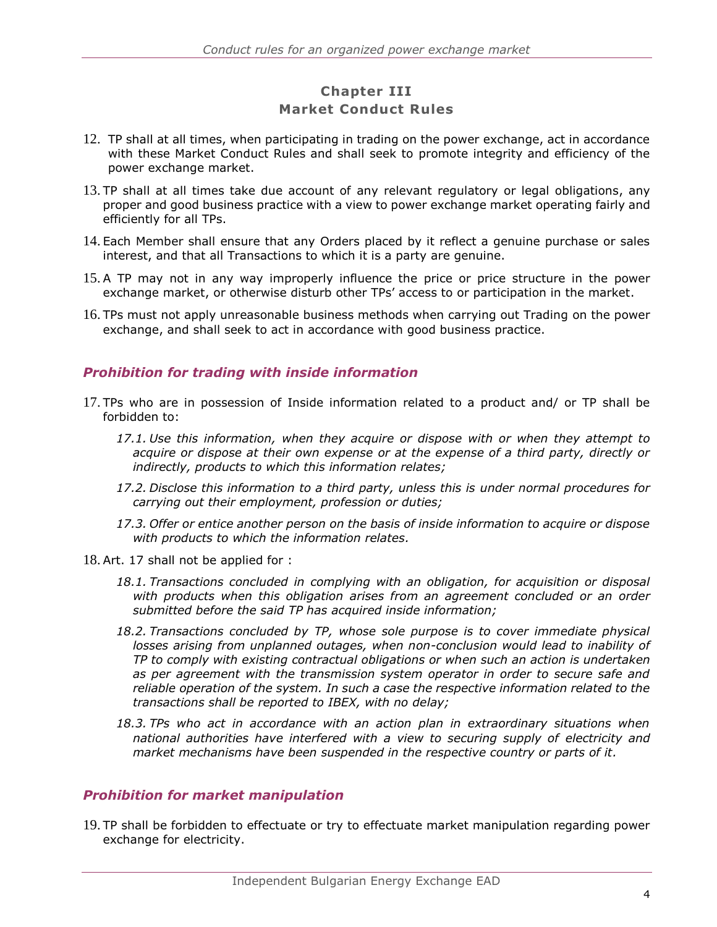# **Chapter III Market Conduct Rules**

- 12. TP shall at all times, when participating in trading on the power exchange, act in accordance with these Market Conduct Rules and shall seek to promote integrity and efficiency of the power exchange market.
- 13. TP shall at all times take due account of any relevant regulatory or legal obligations, any proper and good business practice with a view to power exchange market operating fairly and efficiently for all TPs.
- 14. Each Member shall ensure that any Orders placed by it reflect a genuine purchase or sales interest, and that all Transactions to which it is a party are genuine.
- 15. A TP may not in any way improperly influence the price or price structure in the power exchange market, or otherwise disturb other TPs' access to or participation in the market.
- 16. TPs must not apply unreasonable business methods when carrying out Trading on the power exchange, and shall seek to act in accordance with good business practice.

#### <span id="page-4-0"></span>*Prohibition for trading with inside information*

- <span id="page-4-2"></span>17. TPs who are in possession of Inside information related to a product and/ or TP shall be forbidden to:
	- *17.1. Use this information, when they acquire or dispose with or when they attempt to acquire or dispose at their own expense or at the expense of a third party, directly or indirectly, products to which this information relates;*
	- *17.2. Disclose this information to a third party, unless this is under normal procedures for carrying out their employment, profession or duties;*
	- *17.3. Offer or entice another person on the basis of inside information to acquire or dispose with products to which the information relates.*
- 18. Art. [17](#page-4-2) shall not be applied for :
	- *18.1. Transactions concluded in complying with an obligation, for acquisition or disposal with products when this obligation arises from an agreement concluded or an order submitted before the said TP has acquired inside information;*
	- *18.2. Transactions concluded by TP, whose sole purpose is to cover immediate physical losses arising from unplanned outages, when non-conclusion would lead to inability of TP to comply with existing contractual obligations or when such an action is undertaken as per agreement with the transmission system operator in order to secure safe and reliable operation of the system. In such a case the respective information related to the transactions shall be reported to IBEX, with no delay;*
	- *18.3. TPs who act in accordance with an action plan in extraordinary situations when national authorities have interfered with a view to securing supply of electricity and market mechanisms have been suspended in the respective country or parts of it.*

#### <span id="page-4-1"></span>*Prohibition for market manipulation*

19. TP shall be forbidden to effectuate or try to effectuate market manipulation regarding power exchange for electricity.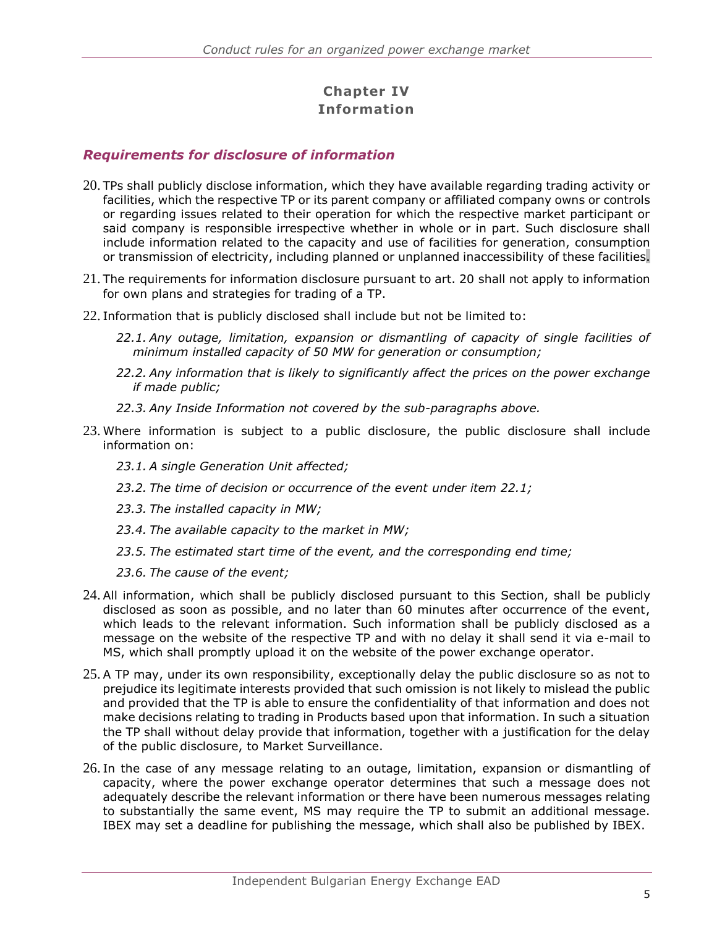# **Chapter IV Information**

#### <span id="page-5-0"></span>*Requirements for disclosure of information*

- 20. TPs shall publicly disclose information, which they have available regarding trading activity or facilities, which the respective TP or its parent company or affiliated company owns or controls or regarding issues related to their operation for which the respective market participant or said company is responsible irrespective whether in whole or in part. Such disclosure shall include information related to the capacity and use of facilities for generation, consumption or transmission of electricity, including planned or unplanned inaccessibility of these facilities.
- 21. The requirements for information disclosure pursuant to art. 20 shall not apply to information for own plans and strategies for trading of a TP.
- <span id="page-5-1"></span>22. Information that is publicly disclosed shall include but not be limited to:
	- *22.1. Any outage, limitation, expansion or dismantling of capacity of single facilities of minimum installed capacity of 50 MW for generation or consumption;*
	- *22.2. Any information that is likely to significantly affect the prices on the power exchange if made public;*
	- *22.3. Any Inside Information not covered by the sub-paragraphs above.*
- 23. Where information is subject to a public disclosure, the public disclosure shall include information on:
	- *23.1. A single Generation Unit affected;*
	- *23.2. The time of decision or occurrence of the event under item [22.1;](#page-5-1)*
	- *23.3. The installed capacity in MW;*
	- *23.4. The available capacity to the market in MW;*
	- *23.5. The estimated start time of the event, and the corresponding end time;*
	- *23.6. The cause of the event;*
- 24. All information, which shall be publicly disclosed pursuant to this Section, shall be publicly disclosed as soon as possible, and no later than 60 minutes after occurrence of the event, which leads to the relevant information. Such information shall be publicly disclosed as a message on the website of the respective TP and with no delay it shall send it via e-mail to MS, which shall promptly upload it on the website of the power exchange operator.
- 25. A TP may, under its own responsibility, exceptionally delay the public disclosure so as not to prejudice its legitimate interests provided that such omission is not likely to mislead the public and provided that the TP is able to ensure the confidentiality of that information and does not make decisions relating to trading in Products based upon that information. In such a situation the TP shall without delay provide that information, together with a justification for the delay of the public disclosure, to Market Surveillance.
- 26. In the case of any message relating to an outage, limitation, expansion or dismantling of capacity, where the power exchange operator determines that such a message does not adequately describe the relevant information or there have been numerous messages relating to substantially the same event, MS may require the TP to submit an additional message. IBEX may set a deadline for publishing the message, which shall also be published by IBEX.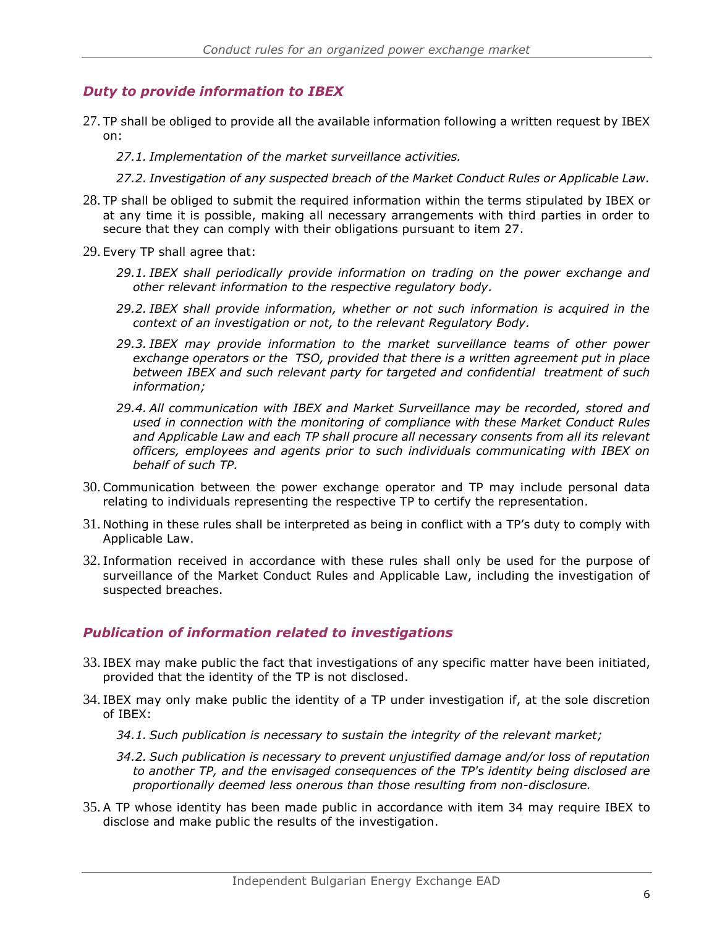### <span id="page-6-0"></span>*Duty to provide information to IBEX*

27. TP shall be obliged to provide all the available information following a written request by IBEX on:

*27.1. Implementation of the market surveillance activities.*

- *27.2. Investigation of any suspected breach of the Market Conduct Rules or Applicable Law.*
- 28. TP shall be obliged to submit the required information within the terms stipulated by IBEX or at any time it is possible, making all necessary arrangements with third parties in order to secure that they can comply with their obligations pursuant to item 27.
- 29. Every TP shall agree that:
	- *29.1. IBEX shall periodically provide information on trading on the power exchange and other relevant information to the respective regulatory body.*
	- *29.2. IBEX shall provide information, whether or not such information is acquired in the context of an investigation or not, to the relevant Regulatory Body.*
	- *29.3. IBEX may provide information to the market surveillance teams of other power exchange operators or the TSO, provided that there is a written agreement put in place between IBEX and such relevant party for targeted and confidential treatment of such information;*
	- *29.4. All communication with IBEX and Market Surveillance may be recorded, stored and used in connection with the monitoring of compliance with these Market Conduct Rules and Applicable Law and each TP shall procure all necessary consents from all its relevant officers, employees and agents prior to such individuals communicating with IBEX on behalf of such TP.*
- 30. Communication between the power exchange operator and TP may include personal data relating to individuals representing the respective TP to certify the representation.
- 31. Nothing in these rules shall be interpreted as being in conflict with a TP's duty to comply with Applicable Law.
- 32. Information received in accordance with these rules shall only be used for the purpose of surveillance of the Market Conduct Rules and Applicable Law, including the investigation of suspected breaches.

#### <span id="page-6-1"></span>*Publication of information related to investigations*

- 33. IBEX may make public the fact that investigations of any specific matter have been initiated, provided that the identity of the TP is not disclosed.
- 34. IBEX may only make public the identity of a TP under investigation if, at the sole discretion of IBEX:
	- *34.1. Such publication is necessary to sustain the integrity of the relevant market;*
	- *34.2. Such publication is necessary to prevent unjustified damage and/or loss of reputation to another TP, and the envisaged consequences of the TP's identity being disclosed are proportionally deemed less onerous than those resulting from non-disclosure.*
- 35. A TP whose identity has been made public in accordance with item 34 may require IBEX to disclose and make public the results of the investigation.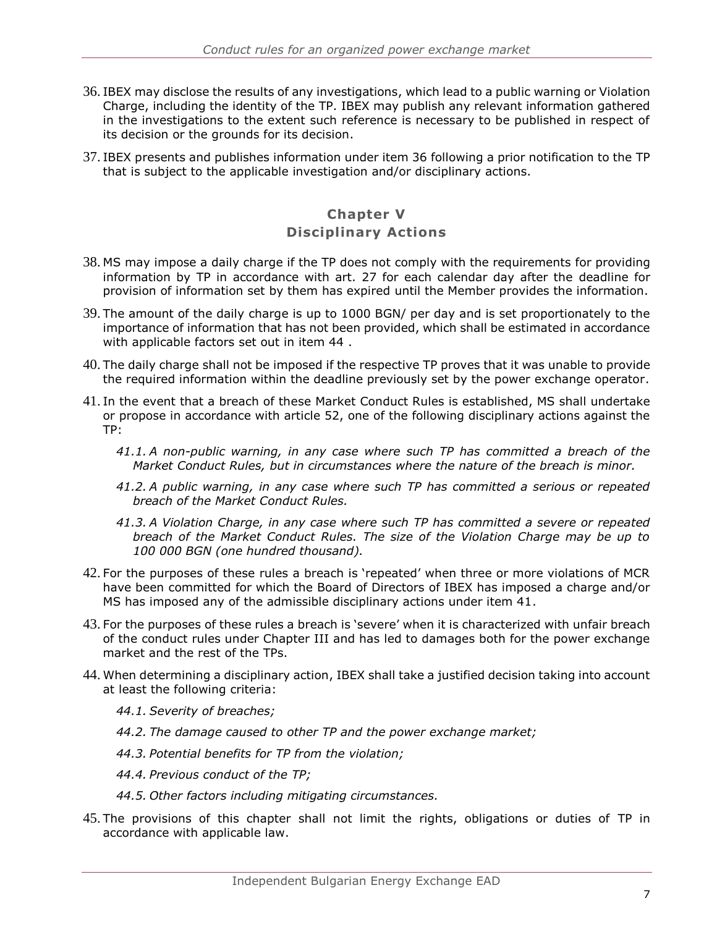- 36. IBEX may disclose the results of any investigations, which lead to a public warning or Violation Charge, including the identity of the TP. IBEX may publish any relevant information gathered in the investigations to the extent such reference is necessary to be published in respect of its decision or the grounds for its decision.
- 37. IBEX presents and publishes information under item 36 following a prior notification to the TP that is subject to the applicable investigation and/or disciplinary actions.

# **Chapter V**

#### **Disciplinary Actions**

- <span id="page-7-0"></span>38. MS may impose a daily charge if the TP does not comply with the requirements for providing information by TP in accordance with art. 27 for each calendar day after the deadline for provision of information set by them has expired until the Member provides the information.
- 39. The amount of the daily charge is up to 1000 BGN/ per day and is set proportionately to the importance of information that has not been provided, which shall be estimated in accordance with applicable factors set out in item 44 .
- 40. The daily charge shall not be imposed if the respective TP proves that it was unable to provide the required information within the deadline previously set by the power exchange operator.
- 41. In the event that a breach of these Market Conduct Rules is established, MS shall undertake or propose in accordance with article [52,](#page-8-2) one of the following disciplinary actions against the TP:
	- *41.1. A non-public warning, in any case where such TP has committed a breach of the Market Conduct Rules, but in circumstances where the nature of the breach is minor.*
	- *41.2. A public warning, in any case where such TP has committed a serious or repeated breach of the Market Conduct Rules.*
	- *41.3. A Violation Charge, in any case where such TP has committed a severe or repeated breach of the Market Conduct Rules. The size of the Violation Charge may be up to 100 000 BGN (one hundred thousand).*
- 42. For the purposes of these rules a breach is 'repeated' when three or more violations of MCR have been committed for which the Board of Directors of IBEX has imposed a charge and/or MS has imposed any of the admissible disciplinary actions under item 41.
- 43. For the purposes of these rules a breach is 'severe' when it is characterized with unfair breach of the conduct rules under Chapter III and has led to damages both for the power exchange market and the rest of the TPs.
- 44. When determining a disciplinary action, IBEX shall take a justified decision taking into account at least the following criteria:
	- *44.1. Severity of breaches;*
	- *44.2. The damage caused to other TP and the power exchange market;*
	- *44.3. Potential benefits for TP from the violation;*
	- *44.4. Previous conduct of the TP;*
	- *44.5. Other factors including mitigating circumstances.*
- 45. The provisions of this chapter shall not limit the rights, obligations or duties of TP in accordance with applicable law.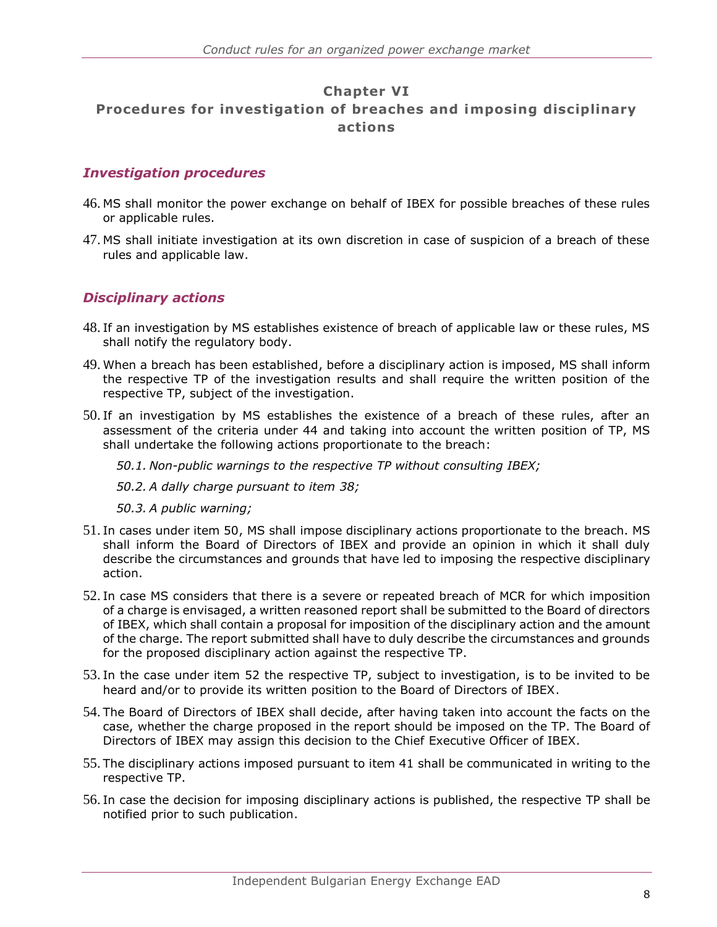## **Chapter VI Procedures for investigation of breaches and imposing disciplinary actions**

#### <span id="page-8-0"></span>*Investigation procedures*

- 46. MS shall monitor the power exchange on behalf of IBEX for possible breaches of these rules or applicable rules.
- 47. MS shall initiate investigation at its own discretion in case of suspicion of a breach of these rules and applicable law.

## <span id="page-8-1"></span>*Disciplinary actions*

- 48. If an investigation by MS establishes existence of breach of applicable law or these rules, MS shall notify the regulatory body.
- 49. When a breach has been established, before a disciplinary action is imposed, MS shall inform the respective TP of the investigation results and shall require the written position of the respective TP, subject of the investigation.
- 50. If an investigation by MS establishes the existence of a breach of these rules, after an assessment of the criteria under 44 and taking into account the written position of TP, MS shall undertake the following actions proportionate to the breach:

*50.1. Non-public warnings to the respective TP without consulting IBEX;*

*50.2. A dally charge pursuant to item [38;](#page-7-0)*

*50.3. A public warning;*

- 51. In cases under item 50, MS shall impose disciplinary actions proportionate to the breach. MS shall inform the Board of Directors of IBEX and provide an opinion in which it shall duly describe the circumstances and grounds that have led to imposing the respective disciplinary action.
- <span id="page-8-2"></span>52. In case MS considers that there is a severe or repeated breach of MCR for which imposition of a charge is envisaged, a written reasoned report shall be submitted to the Board of directors of IBEX, which shall contain a proposal for imposition of the disciplinary action and the amount of the charge. The report submitted shall have to duly describe the circumstances and grounds for the proposed disciplinary action against the respective TP.
- 53. In the case under item 52 the respective TP, subject to investigation, is to be invited to be heard and/or to provide its written position to the Board of Directors of IBEX.
- 54. The Board of Directors of IBEX shall decide, after having taken into account the facts on the case, whether the charge proposed in the report should be imposed on the TP. The Board of Directors of IBEX may assign this decision to the Chief Executive Officer of IBEX.
- 55. The disciplinary actions imposed pursuant to item 41 shall be communicated in writing to the respective TP.
- 56. In case the decision for imposing disciplinary actions is published, the respective TP shall be notified prior to such publication.